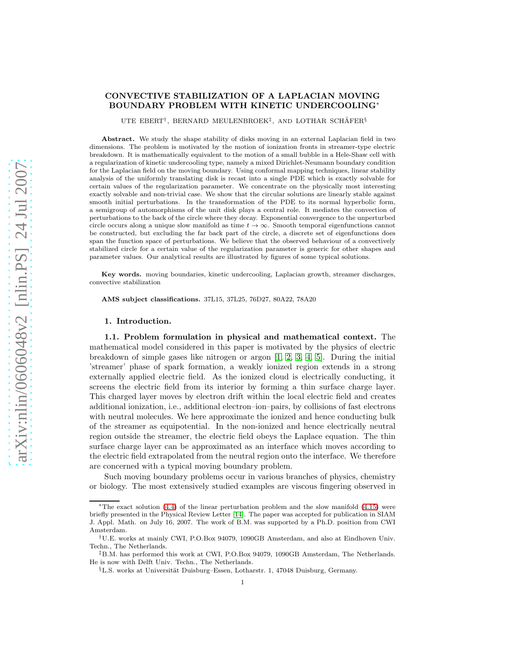# CONVECTIVE STABILIZATION OF A LAPLACIAN MOVING BOUNDARY PROBLEM WITH KINETIC UNDERCOOLING<sup>∗</sup>

UTE EBERT<sup>†</sup>, BERNARD MEULENBROEK<sup>‡</sup>, AND LOTHAR SCHÄFER<sup>§</sup>

Abstract. We study the shape stability of disks moving in an external Laplacian field in two dimensions. The problem is motivated by the motion of ionization fronts in streamer-type electric breakdown. It is mathematically equivalent to the motion of a small bubble in a Hele-Shaw cell with a regularization of kinetic undercooling type, namely a mixed Dirichlet-Neumann boundary condition for the Laplacian field on the moving boundary. Using conformal mapping techniques, linear stability analysis of the uniformly translating disk is recast into a single PDE which is exactly solvable for certain values of the regularization parameter. We concentrate on the physically most interesting exactly solvable and non-trivial case. We show that the circular solutions are linearly stable against smooth initial perturbations. In the transformation of the PDE to its normal hyperbolic form, a semigroup of automorphisms of the unit disk plays a central role. It mediates the convection of perturbations to the back of the circle where they decay. Exponential convergence to the unperturbed circle occurs along a unique slow manifold as time  $t \to \infty$ . Smooth temporal eigenfunctions cannot be constructed, but excluding the far back part of the circle, a discrete set of eigenfunctions does span the function space of perturbations. We believe that the observed behaviour of a convectively stabilized circle for a certain value of the regularization parameter is generic for other shapes and parameter values. Our analytical results are illustrated by figures of some typical solutions.

Key words. moving boundaries, kinetic undercooling, Laplacian growth, streamer discharges, convective stabilization

AMS subject classifications. 37L15, 37L25, 76D27, 80A22, 78A20

#### 1. Introduction.

1.1. Problem formulation in physical and mathematical context. The mathematical model considered in this paper is motivated by the physics of electric breakdown of simple gases like nitrogen or argon  $[1, 2, 3, 4, 5]$  $[1, 2, 3, 4, 5]$  $[1, 2, 3, 4, 5]$  $[1, 2, 3, 4, 5]$  $[1, 2, 3, 4, 5]$ . During the initial 'streamer' phase of spark formation, a weakly ionized region extends in a strong externally applied electric field. As the ionized cloud is electrically conducting, it screens the electric field from its interior by forming a thin surface charge layer. This charged layer moves by electron drift within the local electric field and creates additional ionization, i.e., additional electron–ion–pairs, by collisions of fast electrons with neutral molecules. We here approximate the ionized and hence conducting bulk of the streamer as equipotential. In the non-ionized and hence electrically neutral region outside the streamer, the electric field obeys the Laplace equation. The thin surface charge layer can be approximated as an interface which moves according to the electric field extrapolated from the neutral region onto the interface. We therefore are concerned with a typical moving boundary problem.

Such moving boundary problems occur in various branches of physics, chemistry or biology. The most extensively studied examples are viscous fingering observed in

<sup>∗</sup>The exact solution [\(4.4\)](#page-7-0) of the linear perturbation problem and the slow manifold [\(4.15\)](#page-9-0) were briefly presented in the Physical Review Letter [\[14\]](#page-18-5). The paper was accepted for publication in SIAM J. Appl. Math. on July 16, 2007. The work of B.M. was supported by a Ph.D. position from CWI Amsterdam.

<sup>†</sup>U.E. works at mainly CWI, P.O.Box 94079, 1090GB Amsterdam, and also at Eindhoven Univ. Techn., The Netherlands.

<sup>‡</sup>B.M. has performed this work at CWI, P.O.Box 94079, 1090GB Amsterdam, The Netherlands. He is now with Delft Univ. Techn., The Netherlands.

<sup>§</sup>L.S. works at Universität Duisburg–Essen, Lotharstr. 1, 47048 Duisburg, Germany.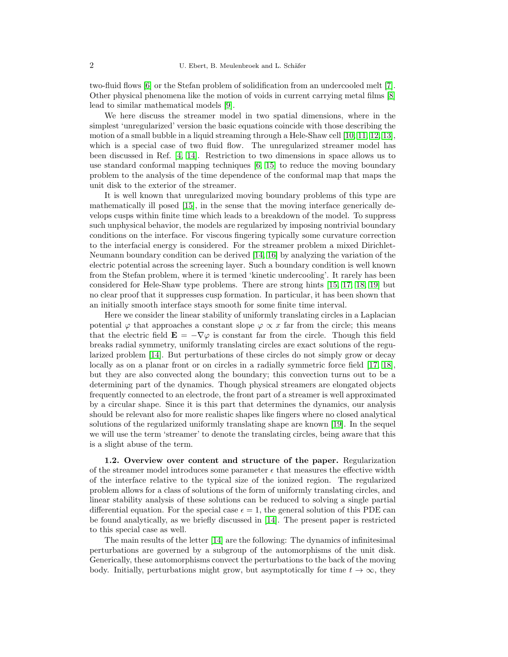two-fluid flows [\[6\]](#page-18-6) or the Stefan problem of solidification from an undercooled melt [\[7\]](#page-18-7). Other physical phenomena like the motion of voids in current carrying metal films [\[8\]](#page-18-8) lead to similar mathematical models [\[9\]](#page-18-9).

We here discuss the streamer model in two spatial dimensions, where in the simplest 'unregularized' version the basic equations coincide with those describing the motion of a small bubble in a liquid streaming through a Hele-Shaw cell [\[10,](#page-18-10) [11,](#page-18-11) [12,](#page-18-12) [13\]](#page-18-13), which is a special case of two fluid flow. The unregularized streamer model has been discussed in Ref. [\[4,](#page-18-3) [14\]](#page-18-5). Restriction to two dimensions in space allows us to use standard conformal mapping techniques [\[6,](#page-18-6) [15\]](#page-18-14) to reduce the moving boundary problem to the analysis of the time dependence of the conformal map that maps the unit disk to the exterior of the streamer.

It is well known that unregularized moving boundary problems of this type are mathematically ill posed [\[15\]](#page-18-14), in the sense that the moving interface generically develops cusps within finite time which leads to a breakdown of the model. To suppress such unphysical behavior, the models are regularized by imposing nontrivial boundary conditions on the interface. For viscous fingering typically some curvature correction to the interfacial energy is considered. For the streamer problem a mixed Dirichlet-Neumann boundary condition can be derived [\[14,](#page-18-5) [16\]](#page-18-15) by analyzing the variation of the electric potential across the screening layer. Such a boundary condition is well known from the Stefan problem, where it is termed 'kinetic undercooling'. It rarely has been considered for Hele-Shaw type problems. There are strong hints [\[15,](#page-18-14) [17,](#page-18-16) [18,](#page-18-17) [19\]](#page-18-18) but no clear proof that it suppresses cusp formation. In particular, it has been shown that an initially smooth interface stays smooth for some finite time interval.

Here we consider the linear stability of uniformly translating circles in a Laplacian potential  $\varphi$  that approaches a constant slope  $\varphi \propto x$  far from the circle; this means that the electric field  $\mathbf{E} = -\nabla \varphi$  is constant far from the circle. Though this field breaks radial symmetry, uniformly translating circles are exact solutions of the regularized problem [\[14\]](#page-18-5). But perturbations of these circles do not simply grow or decay locally as on a planar front or on circles in a radially symmetric force field [\[17,](#page-18-16) [18\]](#page-18-17), but they are also convected along the boundary; this convection turns out to be a determining part of the dynamics. Though physical streamers are elongated objects frequently connected to an electrode, the front part of a streamer is well approximated by a circular shape. Since it is this part that determines the dynamics, our analysis should be relevant also for more realistic shapes like fingers where no closed analytical solutions of the regularized uniformly translating shape are known [\[19\]](#page-18-18). In the sequel we will use the term 'streamer' to denote the translating circles, being aware that this is a slight abuse of the term.

1.2. Overview over content and structure of the paper. Regularization of the streamer model introduces some parameter  $\epsilon$  that measures the effective width of the interface relative to the typical size of the ionized region. The regularized problem allows for a class of solutions of the form of uniformly translating circles, and linear stability analysis of these solutions can be reduced to solving a single partial differential equation. For the special case  $\epsilon = 1$ , the general solution of this PDE can be found analytically, as we briefly discussed in [\[14\]](#page-18-5). The present paper is restricted to this special case as well.

The main results of the letter [\[14\]](#page-18-5) are the following: The dynamics of infinitesimal perturbations are governed by a subgroup of the automorphisms of the unit disk. Generically, these automorphisms convect the perturbations to the back of the moving body. Initially, perturbations might grow, but asymptotically for time  $t \to \infty$ , they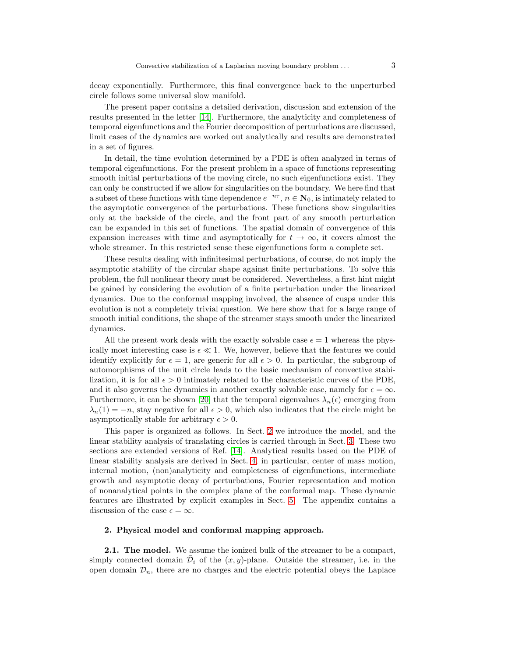decay exponentially. Furthermore, this final convergence back to the unperturbed circle follows some universal slow manifold.

The present paper contains a detailed derivation, discussion and extension of the results presented in the letter [\[14\]](#page-18-5). Furthermore, the analyticity and completeness of temporal eigenfunctions and the Fourier decomposition of perturbations are discussed, limit cases of the dynamics are worked out analytically and results are demonstrated in a set of figures.

In detail, the time evolution determined by a PDE is often analyzed in terms of temporal eigenfunctions. For the present problem in a space of functions representing smooth initial perturbations of the moving circle, no such eigenfunctions exist. They can only be constructed if we allow for singularities on the boundary. We here find that a subset of these functions with time dependence  $e^{-n\tau}$ ,  $n \in \mathbb{N}_0$ , is intimately related to the asymptotic convergence of the perturbations. These functions show singularities only at the backside of the circle, and the front part of any smooth perturbation can be expanded in this set of functions. The spatial domain of convergence of this expansion increases with time and asymptotically for  $t \to \infty$ , it covers almost the whole streamer. In this restricted sense these eigenfunctions form a complete set.

These results dealing with infinitesimal perturbations, of course, do not imply the asymptotic stability of the circular shape against finite perturbations. To solve this problem, the full nonlinear theory must be considered. Nevertheless, a first hint might be gained by considering the evolution of a finite perturbation under the linearized dynamics. Due to the conformal mapping involved, the absence of cusps under this evolution is not a completely trivial question. We here show that for a large range of smooth initial conditions, the shape of the streamer stays smooth under the linearized dynamics.

All the present work deals with the exactly solvable case  $\epsilon = 1$  whereas the physically most interesting case is  $\epsilon \ll 1$ . We, however, believe that the features we could identify explicitly for  $\epsilon = 1$ , are generic for all  $\epsilon > 0$ . In particular, the subgroup of automorphisms of the unit circle leads to the basic mechanism of convective stabilization, it is for all  $\epsilon > 0$  intimately related to the characteristic curves of the PDE, and it also governs the dynamics in another exactly solvable case, namely for  $\epsilon = \infty$ . Furthermore, it can be shown [\[20\]](#page-18-19) that the temporal eigenvalues  $\lambda_n(\epsilon)$  emerging from  $\lambda_n(1) = -n$ , stay negative for all  $\epsilon > 0$ , which also indicates that the circle might be asymptotically stable for arbitrary  $\epsilon > 0$ .

This paper is organized as follows. In Sect. [2](#page-2-0) we introduce the model, and the linear stability analysis of translating circles is carried through in Sect. [3.](#page-4-0) These two sections are extended versions of Ref. [\[14\]](#page-18-5). Analytical results based on the PDE of linear stability analysis are derived in Sect. [4,](#page-7-1) in particular, center of mass motion, internal motion, (non)analyticity and completeness of eigenfunctions, intermediate growth and asymptotic decay of perturbations, Fourier representation and motion of nonanalytical points in the complex plane of the conformal map. These dynamic features are illustrated by explicit examples in Sect. [5.](#page-13-0) The appendix contains a discussion of the case  $\epsilon = \infty$ .

## <span id="page-2-0"></span>2. Physical model and conformal mapping approach.

2.1. The model. We assume the ionized bulk of the streamer to be a compact, simply connected domain  $\bar{\mathcal{D}}_i$  of the  $(x, y)$ -plane. Outside the streamer, i.e. in the open domain  $\mathcal{D}_n$ , there are no charges and the electric potential obeys the Laplace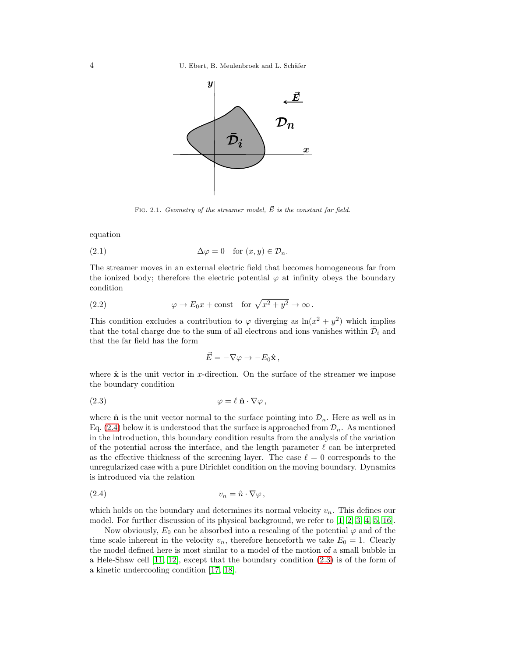

<span id="page-3-2"></span>FIG. 2.1. Geometry of the streamer model,  $\vec{E}$  is the constant far field.

equation

(2.1) 
$$
\Delta \varphi = 0 \quad \text{for } (x, y) \in \mathcal{D}_n.
$$

The streamer moves in an external electric field that becomes homogeneous far from the ionized body; therefore the electric potential  $\varphi$  at infinity obeys the boundary condition

(2.2) 
$$
\varphi \to E_0 x + \text{const} \quad \text{for } \sqrt{x^2 + y^2} \to \infty.
$$

This condition excludes a contribution to  $\varphi$  diverging as  $\ln(x^2 + y^2)$  which implies that the total charge due to the sum of all electrons and ions vanishes within  $\bar{\mathcal{D}}_i$  and that the far field has the form

<span id="page-3-3"></span><span id="page-3-1"></span>
$$
\vec{E} = -\nabla \varphi \rightarrow -E_0 \hat{\mathbf{x}} \,,
$$

where  $\hat{\mathbf{x}}$  is the unit vector in x-direction. On the surface of the streamer we impose the boundary condition

$$
\varphi = \ell \; \hat{\mathbf{n}} \cdot \nabla \varphi \,,
$$

where  $\hat{\mathbf{n}}$  is the unit vector normal to the surface pointing into  $\mathcal{D}_n$ . Here as well as in Eq. [\(2.4\)](#page-3-0) below it is understood that the surface is approached from  $\mathcal{D}_n$ . As mentioned in the introduction, this boundary condition results from the analysis of the variation of the potential across the interface, and the length parameter  $\ell$  can be interpreted as the effective thickness of the screening layer. The case  $\ell = 0$  corresponds to the unregularized case with a pure Dirichlet condition on the moving boundary. Dynamics is introduced via the relation

<span id="page-3-0"></span>
$$
(2.4) \t\t v_n = \hat{n} \cdot \nabla \varphi \,,
$$

which holds on the boundary and determines its normal velocity  $v_n$ . This defines our model. For further discussion of its physical background, we refer to  $[1, 2, 3, 4, 5, 16]$  $[1, 2, 3, 4, 5, 16]$  $[1, 2, 3, 4, 5, 16]$  $[1, 2, 3, 4, 5, 16]$  $[1, 2, 3, 4, 5, 16]$  $[1, 2, 3, 4, 5, 16]$ .

Now obviously,  $E_0$  can be absorbed into a rescaling of the potential  $\varphi$  and of the time scale inherent in the velocity  $v_n$ , therefore henceforth we take  $E_0 = 1$ . Clearly the model defined here is most similar to a model of the motion of a small bubble in a Hele-Shaw cell [\[11,](#page-18-11) [12\]](#page-18-12), except that the boundary condition [\(2.3\)](#page-3-1) is of the form of a kinetic undercooling condition [\[17,](#page-18-16) [18\]](#page-18-17).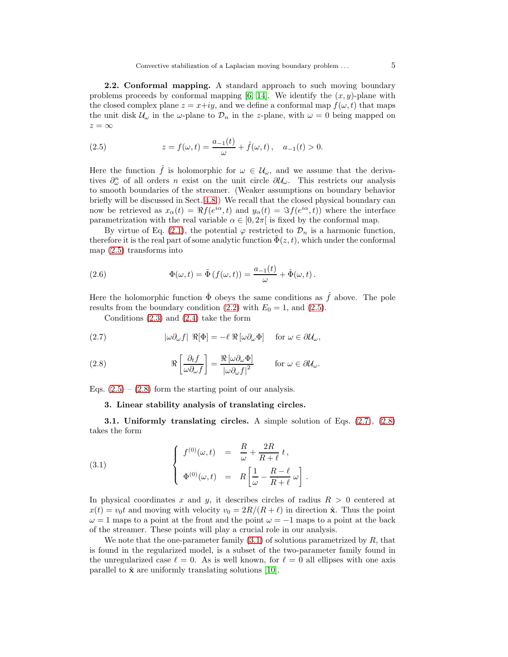2.2. Conformal mapping. A standard approach to such moving boundary problems proceeds by conformal mapping [\[6,](#page-18-6) [14\]](#page-18-5). We identify the  $(x, y)$ -plane with the closed complex plane  $z = x+iy$ , and we define a conformal map  $f(\omega, t)$  that maps the unit disk  $\mathcal{U}_{\omega}$  in the  $\omega$ -plane to  $\mathcal{D}_n$  in the z-plane, with  $\omega = 0$  being mapped on  $z = \infty$ 

<span id="page-4-1"></span>(2.5) 
$$
z = f(\omega, t) = \frac{a_{-1}(t)}{\omega} + \hat{f}(\omega, t), \quad a_{-1}(t) > 0.
$$

Here the function  $\hat{f}$  is holomorphic for  $\omega \in \mathcal{U}_{\omega}$ , and we assume that the derivatives  $\partial^n_\omega$  of all orders n exist on the unit circle  $\partial \mathcal{U}_\omega$ . This restricts our analysis to smooth boundaries of the streamer. (Weaker assumptions on boundary behavior briefly will be discussed in Sect. [4.8.](#page-12-0)) We recall that the closed physical boundary can now be retrieved as  $x_{\alpha}(t) = \Re f(e^{i\alpha}, t)$  and  $y_{\alpha}(t) = \Im f(e^{i\alpha}, t)$  where the interface parametrization with the real variable  $\alpha \in [0, 2\pi]$  is fixed by the conformal map.

By virtue of Eq. [\(2.1\)](#page-3-2), the potential  $\varphi$  restricted to  $\mathcal{D}_n$  is a harmonic function, therefore it is the real part of some analytic function  $\Phi(z, t)$ , which under the conformal map [\(2.5\)](#page-4-1) transforms into

(2.6) 
$$
\Phi(\omega, t) = \tilde{\Phi}(f(\omega, t)) = \frac{a_{-1}(t)}{\omega} + \hat{\Phi}(\omega, t).
$$

Here the holomorphic function  $\ddot{\Phi}$  obeys the same conditions as  $\hat{f}$  above. The pole results from the boundary condition [\(2.2\)](#page-3-3) with  $E_0 = 1$ , and [\(2.5\)](#page-4-1).

<span id="page-4-2"></span>Conditions [\(2.3\)](#page-3-1) and [\(2.4\)](#page-3-0) take the form

(2.7) 
$$
|\omega \partial_{\omega} f| \Re[\Phi] = -\ell \Re[\omega \partial_{\omega} \Phi] \text{ for } \omega \in \partial \mathcal{U}_{\omega},
$$

(2.8) 
$$
\Re\left[\frac{\partial_t f}{\omega \partial_\omega f}\right] = \frac{\Re[\omega \partial_\omega \Phi]}{|\omega \partial_\omega f|^2} \quad \text{for } \omega \in \partial \mathcal{U}_\omega.
$$

<span id="page-4-0"></span>Eqs.  $(2.5) - (2.8)$  $(2.5) - (2.8)$  form the starting point of our analysis.

## 3. Linear stability analysis of translating circles.

3.1. Uniformly translating circles. A simple solution of Eqs. [\(2.7\)](#page-4-2), [\(2.8\)](#page-4-2) takes the form

<span id="page-4-3"></span>(3.1) 
$$
\begin{cases} f^{(0)}(\omega, t) = \frac{R}{\omega} + \frac{2R}{R+\ell} t, \\ \Phi^{(0)}(\omega, t) = R \left[ \frac{1}{\omega} - \frac{R-\ell}{R+\ell} \omega \right] \end{cases}
$$

In physical coordinates x and y, it describes circles of radius  $R > 0$  centered at  $x(t) = v_0 t$  and moving with velocity  $v_0 = 2R/(R+\ell)$  in direction  $\hat{\mathbf{x}}$ . Thus the point  $\omega = 1$  maps to a point at the front and the point  $\omega = -1$  maps to a point at the back of the streamer. These points will play a crucial role in our analysis.

.

We note that the one-parameter family  $(3.1)$  of solutions parametrized by R, that is found in the regularized model, is a subset of the two-parameter family found in the unregularized case  $\ell = 0$ . As is well known, for  $\ell = 0$  all ellipses with one axis parallel to  $\hat{\mathbf{x}}$  are uniformly translating solutions [\[10\]](#page-18-10).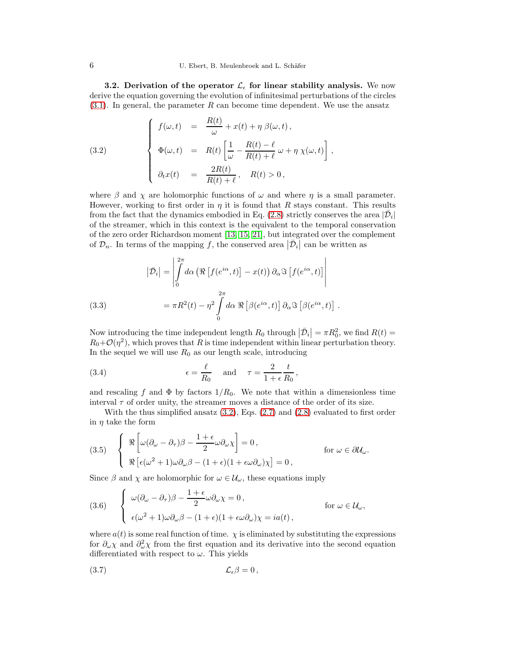3.2. Derivation of the operator  $\mathcal{L}_{\epsilon}$  for linear stability analysis. We now derive the equation governing the evolution of infinitesimal perturbations of the circles  $(3.1)$ . In general, the parameter R can become time dependent. We use the ansatz

<span id="page-5-0"></span>(3.2) 
$$
\begin{cases}\nf(\omega, t) = \frac{R(t)}{\omega} + x(t) + \eta \beta(\omega, t), \\
\Phi(\omega, t) = R(t) \left[ \frac{1}{\omega} - \frac{R(t) - \ell}{R(t) + \ell} \omega + \eta \chi(\omega, t) \right], \\
\partial_t x(t) = \frac{2R(t)}{R(t) + \ell}, \quad R(t) > 0,\n\end{cases}
$$

where  $\beta$  and  $\chi$  are holomorphic functions of  $\omega$  and where  $\eta$  is a small parameter. However, working to first order in  $\eta$  it is found that R stays constant. This results from the fact that the dynamics embodied in Eq. [\(2.8\)](#page-4-2) strictly conserves the area  $|\bar{\mathcal{D}}_i|$ of the streamer, which in this context is the equivalent to the temporal conservation of the zero order Richardson moment [\[13,](#page-18-13) [15,](#page-18-14) [21\]](#page-18-20), but integrated over the complement of  $\mathcal{D}_n$ . In terms of the mapping f, the conserved area  $|\bar{\mathcal{D}}_i|$  can be written as

(3.3)  
\n
$$
|\bar{\mathcal{D}}_i| = \left| \int_0^{2\pi} d\alpha \left( \Re \left[ f(e^{i\alpha}, t) \right] - x(t) \right) \partial_\alpha \Im \left[ f(e^{i\alpha}, t) \right] \right|
$$
\n
$$
= \pi R^2(t) - \eta^2 \int_0^{2\pi} d\alpha \Re \left[ \beta(e^{i\alpha}, t) \right] \partial_\alpha \Im \left[ \beta(e^{i\alpha}, t) \right].
$$

Now introducing the time independent length  $R_0$  through  $|\bar{\mathcal{D}}_i| = \pi R_0^2$ , we find  $R(t) = R_0^2$ .  $R_0+\mathcal{O}(\eta^2)$ , which proves that R is time independent within linear perturbation theory. In the sequel we will use  $R_0$  as our length scale, introducing

(3.4) 
$$
\epsilon = \frac{\ell}{R_0} \quad \text{and} \quad \tau = \frac{2}{1 + \epsilon} \frac{t}{R_0},
$$

and rescaling f and  $\Phi$  by factors  $1/R_0$ . We note that within a dimensionless time interval  $\tau$  of order unity, the streamer moves a distance of the order of its size.

With the thus simplified ansatz  $(3.2)$ , Eqs.  $(2.7)$  and  $(2.8)$  evaluated to first order in  $\eta$  take the form

(3.5) 
$$
\begin{cases} \Re \left[ \omega (\partial_{\omega} - \partial_{\tau}) \beta - \frac{1 + \epsilon}{2} \omega \partial_{\omega} \chi \right] = 0, \\ \Re \left[ \epsilon (\omega^2 + 1) \omega \partial_{\omega} \beta - (1 + \epsilon)(1 + \epsilon \omega \partial_{\omega}) \chi \right] = 0, \end{cases}
$$
 for  $\omega \in \partial \mathcal{U}_{\omega}$ .

Since  $\beta$  and  $\chi$  are holomorphic for  $\omega \in \mathcal{U}_{\omega}$ , these equations imply

(3.6) 
$$
\begin{cases} \omega(\partial_{\omega} - \partial_{\tau})\beta - \frac{1+\epsilon}{2}\omega\partial_{\omega}\chi = 0, \\ \epsilon(\omega^2 + 1)\omega\partial_{\omega}\beta - (1+\epsilon)(1+\epsilon\omega\partial_{\omega})\chi = ia(t), \end{cases}
$$
 for  $\omega \in \mathcal{U}_{\omega}$ ,

where  $a(t)$  is some real function of time.  $\chi$  is eliminated by substituting the expressions for  $\partial_{\omega}\chi$  and  $\partial_{\omega}^2\chi$  from the first equation and its derivative into the second equation differentiated with respect to  $\omega$ . This yields

<span id="page-5-1"></span>
$$
(3.7) \t\t \t\t \mathcal{L}_{\epsilon}\beta = 0 \t\t,
$$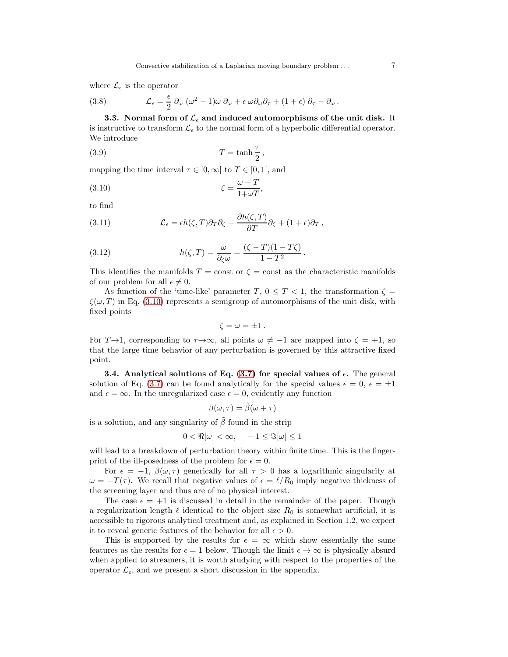where  $\mathcal{L}_{\epsilon}$  is the operator

(3.8) 
$$
\mathcal{L}_{\epsilon} = \frac{\epsilon}{2} \partial_{\omega} (\omega^2 - 1) \omega \partial_{\omega} + \epsilon \omega \partial_{\omega} \partial_{\tau} + (1 + \epsilon) \partial_{\tau} - \partial_{\omega}.
$$

3.3. Normal form of  $\mathcal{L}_{\epsilon}$  and induced automorphisms of the unit disk. It is instructive to transform  $\mathcal{L}_{\epsilon}$  to the normal form of a hyperbolic differential operator. We introduce

<span id="page-6-2"></span>
$$
(3.9) \t\t T = \tanh\frac{\tau}{2},
$$

mapping the time interval  $\tau \in [0,\infty)$  to  $T \in [0,1]$ , and

<span id="page-6-0"></span>
$$
\zeta = \frac{\omega + T}{1 + \omega T},
$$

to find

<span id="page-6-1"></span>(3.11) 
$$
\mathcal{L}_{\epsilon} = \epsilon h(\zeta, T) \partial_T \partial_{\zeta} + \frac{\partial h(\zeta, T)}{\partial T} \partial_{\zeta} + (1 + \epsilon) \partial_T,
$$

(3.12) 
$$
h(\zeta, T) = \frac{\omega}{\partial_{\zeta}\omega} = \frac{(\zeta - T)(1 - T\zeta)}{1 - T^2}.
$$

This identifies the manifolds  $T = \text{const}$  or  $\zeta = \text{const}$  as the characteristic manifolds of our problem for all  $\epsilon \neq 0$ .

As function of the 'time-like' parameter T,  $0 \leq T < 1$ , the transformation  $\zeta =$  $\zeta(\omega, T)$  in Eq. [\(3.10\)](#page-6-0) represents a semigroup of automorphisms of the unit disk, with fixed points

$$
\zeta = \omega = \pm 1.
$$

For  $T\rightarrow 1$ , corresponding to  $\tau\rightarrow\infty$ , all points  $\omega\neq -1$  are mapped into  $\zeta = +1$ , so that the large time behavior of any perturbation is governed by this attractive fixed point.

**3.4.** Analytical solutions of Eq.  $(3.7)$  for special values of  $\epsilon$ . The general solution of Eq. [\(3.7\)](#page-5-1) can be found analytically for the special values  $\epsilon = 0$ ,  $\epsilon = \pm 1$ and  $\epsilon = \infty$ . In the unregularized case  $\epsilon = 0$ , evidently any function

$$
\beta(\omega,\tau)=\tilde{\beta}(\omega+\tau)
$$

is a solution, and any singularity of  $\tilde{\beta}$  found in the strip

$$
0 < \Re[\omega] < \infty, \quad -1 \leq \Im[\omega] \leq 1
$$

will lead to a breakdown of perturbation theory within finite time. This is the fingerprint of the ill-posedness of the problem for  $\epsilon = 0$ .

For  $\epsilon = -1$ ,  $\beta(\omega, \tau)$  generically for all  $\tau > 0$  has a logarithmic singularity at  $\omega = -T(\tau)$ . We recall that negative values of  $\epsilon = \ell/R_0$  imply negative thickness of the screening layer and thus are of no physical interest.

The case  $\epsilon = +1$  is discussed in detail in the remainder of the paper. Though a regularization length  $\ell$  identical to the object size  $R_0$  is somewhat artificial, it is accessible to rigorous analytical treatment and, as explained in Section 1.2, we expect it to reveal generic features of the behavior for all  $\epsilon > 0$ .

This is supported by the results for  $\epsilon = \infty$  which show essentially the same features as the results for  $\epsilon = 1$  below. Though the limit  $\epsilon \to \infty$  is physically absurd when applied to streamers, it is worth studying with respect to the properties of the operator  $\mathcal{L}_{\epsilon}$ , and we present a short discussion in the appendix.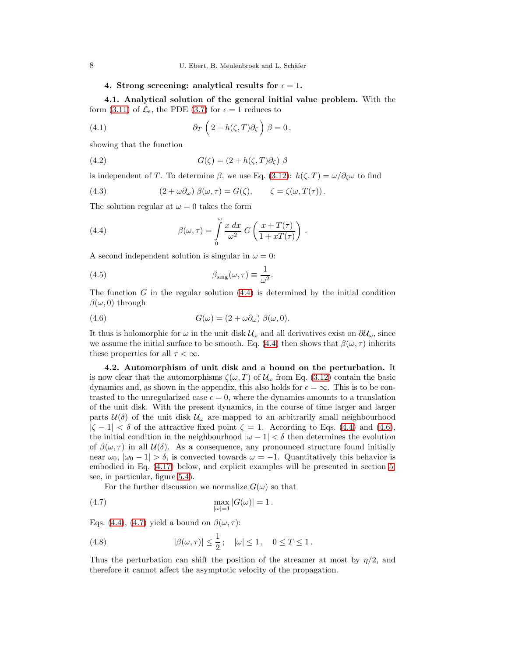## <span id="page-7-1"></span>4. Strong screening: analytical results for  $\epsilon = 1$ .

4.1. Analytical solution of the general initial value problem. With the form [\(3.11\)](#page-6-1) of  $\mathcal{L}_{\epsilon}$ , the PDE [\(3.7\)](#page-5-1) for  $\epsilon = 1$  reduces to

(4.1) 
$$
\partial_T \left( 2 + h(\zeta, T) \partial_\zeta \right) \beta = 0,
$$

showing that the function

(4.2) 
$$
G(\zeta) = (2 + h(\zeta, T)\partial_{\zeta}) \beta
$$

is independent of T. To determine  $\beta$ , we use Eq. [\(3.12\)](#page-6-1):  $h(\zeta, T) = \omega/\partial_{\zeta}\omega$  to find

<span id="page-7-4"></span>(4.3) 
$$
(2 + \omega \partial_{\omega}) \beta(\omega, \tau) = G(\zeta), \qquad \zeta = \zeta(\omega, T(\tau)).
$$

The solution regular at  $\omega = 0$  takes the form

<span id="page-7-0"></span>(4.4) 
$$
\beta(\omega,\tau) = \int_{0}^{\omega} \frac{x \, dx}{\omega^2} \, G\left(\frac{x + T(\tau)}{1 + xT(\tau)}\right) \, .
$$

A second independent solution is singular in  $\omega = 0$ :

(4.5) 
$$
\beta_{\rm sing}(\omega,\tau) \equiv \frac{1}{\omega^2}.
$$

The function  $G$  in the regular solution  $(4.4)$  is determined by the initial condition  $\beta(\omega, 0)$  through

<span id="page-7-2"></span>(4.6) 
$$
G(\omega) = (2 + \omega \partial_{\omega}) \beta(\omega, 0).
$$

It thus is holomorphic for  $\omega$  in the unit disk  $\mathcal{U}_{\omega}$  and all derivatives exist on  $\partial \mathcal{U}_{\omega}$ , since we assume the initial surface to be smooth. Eq. [\(4.4\)](#page-7-0) then shows that  $\beta(\omega, \tau)$  inherits these properties for all  $\tau < \infty$ .

4.2. Automorphism of unit disk and a bound on the perturbation. It is now clear that the automorphisms  $\zeta(\omega, T)$  of  $\mathcal{U}_{\omega}$  from Eq. [\(3.12\)](#page-6-1) contain the basic dynamics and, as shown in the appendix, this also holds for  $\epsilon = \infty$ . This is to be contrasted to the unregularized case  $\epsilon = 0$ , where the dynamics amounts to a translation of the unit disk. With the present dynamics, in the course of time larger and larger parts  $\mathcal{U}(\delta)$  of the unit disk  $\mathcal{U}_{\omega}$  are mapped to an arbitrarily small neighbourhood  $|\zeta - 1| < \delta$  of the attractive fixed point  $\zeta = 1$ . According to Eqs. [\(4.4\)](#page-7-0) and [\(4.6\)](#page-7-2), the initial condition in the neighbourhood  $|\omega - 1| < \delta$  then determines the evolution of  $\beta(\omega, \tau)$  in all  $\mathcal{U}(\delta)$ . As a consequence, any pronounced structure found initially near  $\omega_0$ ,  $|\omega_0 - 1| > \delta$ , is convected towards  $\omega = -1$ . Quantitatively this behavior is embodied in Eq. [\(4.17\)](#page-9-1) below, and explicit examples will be presented in section [5,](#page-13-0) see, in particular, figure [5.4](#page-17-0)b.

<span id="page-7-3"></span>For the further discussion we normalize  $G(\omega)$  so that

(4.7) 
$$
\max_{|\omega|=1} |G(\omega)| = 1.
$$

Eqs. [\(4.4\)](#page-7-0), [\(4.7\)](#page-7-3) yield a bound on  $\beta(\omega, \tau)$ :

(4.8) 
$$
|\beta(\omega, \tau)| \le \frac{1}{2}; \quad |\omega| \le 1, \quad 0 \le T \le 1.
$$

Thus the perturbation can shift the position of the streamer at most by  $\eta/2$ , and therefore it cannot affect the asymptotic velocity of the propagation.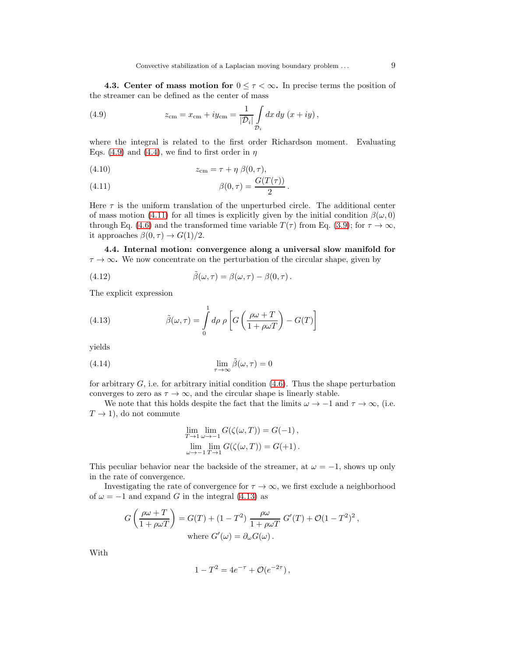**4.3. Center of mass motion for**  $0 \leq \tau < \infty$ . In precise terms the position of the streamer can be defined as the center of mass

<span id="page-8-0"></span>(4.9) 
$$
z_{\text{cm}} = x_{\text{cm}} + iy_{\text{cm}} = \frac{1}{|\bar{\mathcal{D}}_i|} \int_{\mathcal{D}_i} dx \, dy \, (x + iy),
$$

where the integral is related to the first order Richardson moment. Evaluating Eqs. [\(4.9\)](#page-8-0) and [\(4.4\)](#page-7-0), we find to first order in  $\eta$ 

<span id="page-8-1"></span>
$$
(4.10) \t\t\t z_{\rm cm} = \tau + \eta \beta(0, \tau),
$$

(4.11) 
$$
\beta(0,\tau) = \frac{G(T(\tau))}{2}.
$$

Here  $\tau$  is the uniform translation of the unperturbed circle. The additional center of mass motion [\(4.11\)](#page-8-1) for all times is explicitly given by the initial condition  $\beta(\omega, 0)$ through Eq. [\(4.6\)](#page-7-2) and the transformed time variable  $T(\tau)$  from Eq. [\(3.9\)](#page-6-2); for  $\tau \to \infty$ , it approaches  $\beta(0, \tau) \rightarrow G(1)/2$ .

4.4. Internal motion: convergence along a universal slow manifold for  $\tau \to \infty$ . We now concentrate on the perturbation of the circular shape, given by

(4.12) 
$$
\tilde{\beta}(\omega,\tau) = \beta(\omega,\tau) - \beta(0,\tau).
$$

The explicit expression

<span id="page-8-2"></span>(4.13) 
$$
\tilde{\beta}(\omega,\tau) = \int_{0}^{1} d\rho \, \rho \left[ G \left( \frac{\rho \omega + T}{1 + \rho \omega T} \right) - G(T) \right]
$$

yields

(4.14) 
$$
\lim_{\tau \to \infty} \tilde{\beta}(\omega, \tau) = 0
$$

for arbitrary  $G$ , i.e. for arbitrary initial condition  $(4.6)$ . Thus the shape perturbation converges to zero as  $\tau \to \infty$ , and the circular shape is linearly stable.

We note that this holds despite the fact that the limits  $\omega \to -1$  and  $\tau \to \infty$ , (i.e.  $T \rightarrow 1$ , do not commute

<span id="page-8-3"></span>
$$
\lim_{T \to 1} \lim_{\omega \to -1} G(\zeta(\omega, T)) = G(-1),
$$
  

$$
\lim_{\omega \to -1} \lim_{T \to 1} G(\zeta(\omega, T)) = G(+1).
$$

This peculiar behavior near the backside of the streamer, at  $\omega = -1$ , shows up only in the rate of convergence.

Investigating the rate of convergence for  $\tau \to \infty$ , we first exclude a neighborhood of  $\omega = -1$  and expand G in the integral [\(4.13\)](#page-8-2) as

$$
G\left(\frac{\rho\omega+T}{1+\rho\omega T}\right) = G(T) + (1 - T^2) \frac{\rho\omega}{1+\rho\omega T} G'(T) + \mathcal{O}(1 - T^2)^2,
$$
  
where  $G'(\omega) = \partial_{\omega}G(\omega)$ .

With

$$
1 - T^2 = 4e^{-\tau} + \mathcal{O}(e^{-2\tau}),
$$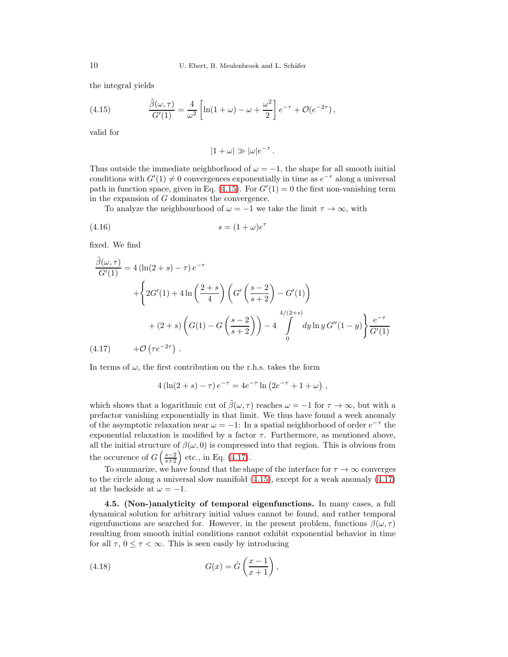the integral yields

<span id="page-9-0"></span>(4.15) 
$$
\frac{\tilde{\beta}(\omega,\tau)}{G'(1)} = \frac{4}{\omega^2} \left[ \ln(1+\omega) - \omega + \frac{\omega^2}{2} \right] e^{-\tau} + \mathcal{O}(e^{-2\tau}),
$$

valid for

<span id="page-9-2"></span>
$$
|1+\omega| \gg |\omega|e^{-\tau}.
$$

Thus outside the immediate neighborhood of  $\omega = -1$ , the shape for all smooth initial conditions with  $G'(1) \neq 0$  convergences exponentially in time as  $e^{-\tau}$  along a universal path in function space, given in Eq.  $(4.15)$ . For  $G'(1) = 0$  the first non-vanishing term in the expansion of G dominates the convergence.

To analyze the neighbourhood of  $\omega = -1$  we take the limit  $\tau \to \infty$ , with

$$
(4.16) \t\t s = (1 + \omega)e^{\tau}
$$

fixed. We find

<span id="page-9-1"></span>
$$
\frac{\tilde{\beta}(\omega,\tau)}{G'(1)} = 4(\ln(2+s) - \tau) e^{-\tau}
$$
  
+ 
$$
\left\{ 2G'(1) + 4\ln\left(\frac{2+s}{4}\right) \left( G'\left(\frac{s-2}{s+2}\right) - G'(1) \right) + (2+s)\left( G(1) - G\left(\frac{s-2}{s+2}\right) \right) - 4 \int_{0}^{4/(2+s)} dy \ln y G''(1-y) \right\} \frac{e^{-\tau}}{G'(1)}
$$
  
(4.17) +  $\mathcal{O}\left(\tau e^{-2\tau}\right)$ .

In terms of  $\omega$ , the first contribution on the r.h.s. takes the form

$$
4\left(\ln(2+s)-\tau\right)e^{-\tau} = 4e^{-\tau}\ln\left(2e^{-\tau} + 1 + \omega\right) ,
$$

which shows that a logarithmic cut of  $\tilde{\beta}(\omega, \tau)$  reaches  $\omega = -1$  for  $\tau \to \infty$ , but with a prefactor vanishing exponentially in that limit. We thus have found a week anomaly of the asymptotic relaxation near  $\omega = -1$ : In a spatial neighborhood of order  $e^{-\tau}$  the exponential relaxation is modified by a factor  $\tau$ . Furthermore, as mentioned above, all the initial structure of  $\beta(\omega, 0)$  is compressed into that region. This is obvious from the occurence of  $G\left(\frac{s-2}{s+2}\right)$  etc., in Eq. [\(4.17\)](#page-9-1).

To summarize, we have found that the shape of the interface for  $\tau \to \infty$  converges to the circle along a universal slow manifold [\(4.15\)](#page-9-0), except for a weak anomaly [\(4.17\)](#page-9-1) at the backside at  $\omega = -1$ .

<span id="page-9-3"></span>4.5. (Non-)analyticity of temporal eigenfunctions. In many cases, a full dynamical solution for arbitrary initial values cannot be found, and rather temporal eigenfunctions are searched for. However, in the present problem, functions  $\beta(\omega, \tau)$ resulting from smooth initial conditions cannot exhibit exponential behavior in time for all  $\tau$ ,  $0 \leq \tau < \infty$ . This is seen easily by introducing

(4.18) 
$$
G(x) = \hat{G}\left(\frac{x-1}{x+1}\right),
$$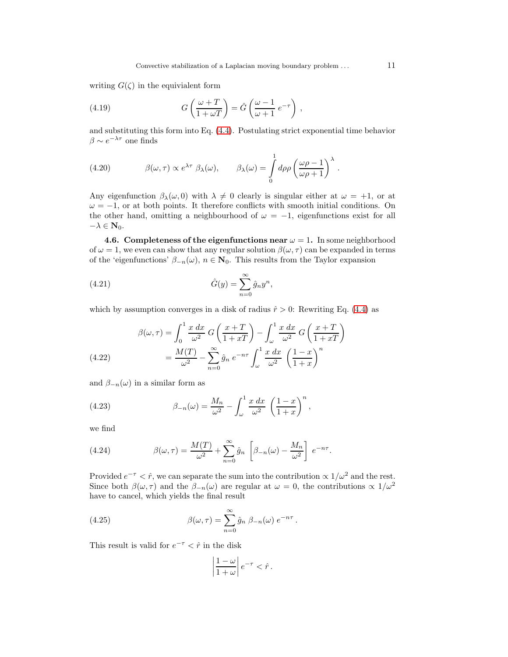writing  $G(\zeta)$  in the equivialent form

(4.19) 
$$
G\left(\frac{\omega+T}{1+\omega T}\right) = \hat{G}\left(\frac{\omega-1}{\omega+1}e^{-\tau}\right),
$$

and substituting this form into Eq. [\(4.4\)](#page-7-0). Postulating strict exponential time behavior  $\beta \sim e^{-\lambda \tau}$  one finds

(4.20) 
$$
\beta(\omega,\tau) \propto e^{\lambda \tau} \beta_{\lambda}(\omega), \qquad \beta_{\lambda}(\omega) = \int_{0}^{1} d\rho \rho \left(\frac{\omega \rho - 1}{\omega \rho + 1}\right)^{\lambda}.
$$

Any eigenfunction  $\beta_{\lambda}(\omega, 0)$  with  $\lambda \neq 0$  clearly is singular either at  $\omega = +1$ , or at  $\omega = -1$ , or at both points. It therefore conflicts with smooth initial conditions. On the other hand, omitting a neighbourhood of  $\omega = -1$ , eigenfunctions exist for all  $-\lambda \in \mathbf{N}_0.$ 

4.6. Completeness of the eigenfunctions near  $\omega = 1$ . In some neighborhood of  $\omega = 1$ , we even can show that any regular solution  $\beta(\omega, \tau)$  can be expanded in terms of the 'eigenfunctions'  $\beta_{-n}(\omega)$ ,  $n \in \mathbb{N}_0$ . This results from the Taylor expansion

<span id="page-10-0"></span>(4.21) 
$$
\hat{G}(y) = \sum_{n=0}^{\infty} \hat{g}_n y^n,
$$

which by assumption converges in a disk of radius  $\hat{r} > 0$ : Rewriting Eq. [\(4.4\)](#page-7-0) as

(4.22) 
$$
\beta(\omega,\tau) = \int_0^1 \frac{x \, dx}{\omega^2} \, G\left(\frac{x+T}{1+xT}\right) - \int_\omega^1 \frac{x \, dx}{\omega^2} \, G\left(\frac{x+T}{1+xT}\right)
$$

$$
= \frac{M(T)}{\omega^2} - \sum_{n=0}^\infty \hat{g}_n \, e^{-n\tau} \int_\omega^1 \frac{x \, dx}{\omega^2} \, \left(\frac{1-x}{1+x}\right)^n
$$

and  $\beta_{-n}(\omega)$  in a similar form as

(4.23) 
$$
\beta_{-n}(\omega) = \frac{M_n}{\omega^2} - \int_{\omega}^1 \frac{x \, dx}{\omega^2} \left(\frac{1-x}{1+x}\right)^n,
$$

we find

(4.24) 
$$
\beta(\omega,\tau) = \frac{M(T)}{\omega^2} + \sum_{n=0}^{\infty} \hat{g}_n \left[ \beta_{-n}(\omega) - \frac{M_n}{\omega^2} \right] e^{-n\tau}.
$$

Provided  $e^{-\tau} < \hat{r}$ , we can separate the sum into the contribution  $\propto 1/\omega^2$  and the rest. Since both  $\beta(\omega, \tau)$  and the  $\beta_{-n}(\omega)$  are regular at  $\omega = 0$ , the contributions  $\propto 1/\omega^2$ have to cancel, which yields the final result

(4.25) 
$$
\beta(\omega,\tau) = \sum_{n=0}^{\infty} \hat{g}_n \ \beta_{-n}(\omega) \ e^{-n\tau}.
$$

This result is valid for  $e^{-\tau} < \hat{r}$  in the disk

<span id="page-10-1"></span>
$$
\left|\frac{1-\omega}{1+\omega}\right|e^{-\tau} < \hat{r}.
$$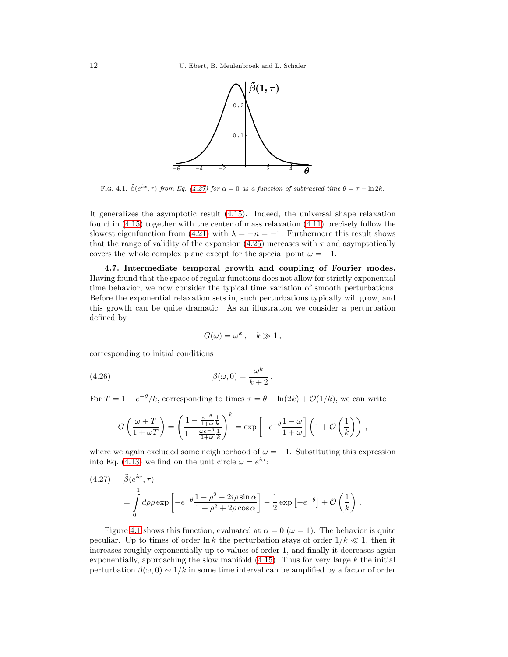

FIG. 4.1.  $\tilde{\beta}(e^{i\alpha}, \tau)$  from Eq. [\(4.27\)](#page-11-0) for  $\alpha = 0$  as a function of subtracted time  $\theta = \tau - \ln 2k$ .

It generalizes the asymptotic result [\(4.15\)](#page-9-0). Indeed, the universal shape relaxation found in [\(4.15\)](#page-9-0) together with the center of mass relaxation [\(4.11\)](#page-8-1) precisely follow the slowest eigenfunction from [\(4.21\)](#page-10-0) with  $\lambda = -n = -1$ . Furthermore this result shows that the range of validity of the expansion [\(4.25\)](#page-10-1) increases with  $\tau$  and asymptotically covers the whole complex plane except for the special point  $\omega = -1$ .

4.7. Intermediate temporal growth and coupling of Fourier modes. Having found that the space of regular functions does not allow for strictly exponential time behavior, we now consider the typical time variation of smooth perturbations. Before the exponential relaxation sets in, such perturbations typically will grow, and this growth can be quite dramatic. As an illustration we consider a perturbation defined by

$$
G(\omega) = \omega^k, \quad k \gg 1,
$$

corresponding to initial conditions

(4.26) 
$$
\beta(\omega,0) = \frac{\omega^k}{k+2}.
$$

For  $T = 1 - e^{-\theta}/k$ , corresponding to times  $\tau = \theta + \ln(2k) + \mathcal{O}(1/k)$ , we can write

$$
G\left(\frac{\omega+T}{1+\omega T}\right) = \left(\frac{1-\frac{e^{-\theta}}{1+\omega k}}{1-\frac{\omega e^{-\theta}}{1+\omega k}}\right)^k = \exp\left[-e^{-\theta}\frac{1-\omega}{1+\omega}\right]\left(1+\mathcal{O}\left(\frac{1}{k}\right)\right),\,
$$

where we again excluded some neighborhood of  $\omega = -1$ . Substituting this expression into Eq. [\(4.13\)](#page-8-2) we find on the unit circle  $\omega = e^{i\alpha}$ :

<span id="page-11-0"></span>(4.27) 
$$
\tilde{\beta}(e^{i\alpha}, \tau) = \int_{0}^{1} d\rho \rho \exp\left[-e^{-\theta} \frac{1-\rho^2 - 2i\rho \sin \alpha}{1+\rho^2 + 2\rho \cos \alpha}\right] - \frac{1}{2} \exp\left[-e^{-\theta}\right] + \mathcal{O}\left(\frac{1}{k}\right).
$$

Figure [4.1](#page-14-0) shows this function, evaluated at  $\alpha = 0$  ( $\omega = 1$ ). The behavior is quite peculiar. Up to times of order  $\ln k$  the perturbation stays of order  $1/k \ll 1$ , then it increases roughly exponentially up to values of order 1, and finally it decreases again exponentially, approaching the slow manifold  $(4.15)$ . Thus for very large k the initial perturbation  $\beta(\omega, 0) \sim 1/k$  in some time interval can be amplified by a factor of order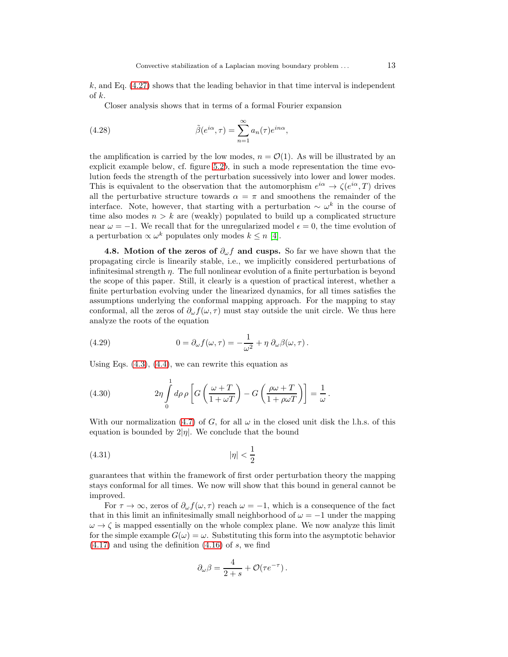$k$ , and Eq. [\(4.27\)](#page-11-0) shows that the leading behavior in that time interval is independent of k.

<span id="page-12-3"></span>Closer analysis shows that in terms of a formal Fourier expansion

(4.28) 
$$
\tilde{\beta}(e^{i\alpha}, \tau) = \sum_{n=1}^{\infty} a_n(\tau) e^{in\alpha},
$$

the amplification is carried by the low modes,  $n = \mathcal{O}(1)$ . As will be illustrated by an explicit example below, cf. figure  $5.2b$ , in such a mode representation the time evolution feeds the strength of the perturbation sucessively into lower and lower modes. This is equivalent to the observation that the automorphism  $e^{i\alpha} \to \zeta(e^{i\alpha}, T)$  drives all the perturbative structure towards  $\alpha = \pi$  and smoothens the remainder of the interface. Note, however, that starting with a perturbation  $\sim \omega^k$  in the course of time also modes  $n > k$  are (weakly) populated to build up a complicated structure near  $\omega = -1$ . We recall that for the unregularized model  $\epsilon = 0$ , the time evolution of a perturbation  $\propto \omega^k$  populates only modes  $k \leq n$  [\[4\]](#page-18-3).

<span id="page-12-0"></span>4.8. Motion of the zeros of  $\partial_{\omega} f$  and cusps. So far we have shown that the propagating circle is linearily stable, i.e., we implicitly considered perturbations of infinitesimal strength  $\eta$ . The full nonlinear evolution of a finite perturbation is beyond the scope of this paper. Still, it clearly is a question of practical interest, whether a finite perturbation evolving under the linearized dynamics, for all times satisfies the assumptions underlying the conformal mapping approach. For the mapping to stay conformal, all the zeros of  $\partial_{\omega} f(\omega, \tau)$  must stay outside the unit circle. We thus here analyze the roots of the equation

<span id="page-12-1"></span>(4.29) 
$$
0 = \partial_{\omega} f(\omega, \tau) = -\frac{1}{\omega^2} + \eta \partial_{\omega} \beta(\omega, \tau).
$$

Using Eqs.  $(4.3)$ ,  $(4.4)$ , we can rewrite this equation as

(4.30) 
$$
2\eta \int_{0}^{1} d\rho \rho \left[ G\left(\frac{\omega + T}{1 + \omega T}\right) - G\left(\frac{\rho \omega + T}{1 + \rho \omega T}\right) \right] = \frac{1}{\omega}.
$$

With our normalization [\(4.7\)](#page-7-3) of G, for all  $\omega$  in the closed unit disk the l.h.s. of this equation is bounded by  $2|\eta|$ . We conclude that the bound

$$
(4.31)\qquad \qquad |\eta| < \frac{1}{2}
$$

guarantees that within the framework of first order perturbation theory the mapping stays conformal for all times. We now will show that this bound in general cannot be improved.

For  $\tau \to \infty$ , zeros of  $\partial_{\omega} f(\omega, \tau)$  reach  $\omega = -1$ , which is a consequence of the fact that in this limit an infinitesimally small neighborhood of  $\omega = -1$  under the mapping  $\omega \rightarrow \zeta$  is mapped essentially on the whole complex plane. We now analyze this limit for the simple example  $G(\omega) = \omega$ . Substituting this form into the asymptotic behavior  $(4.17)$  and using the definition  $(4.16)$  of s, we find

<span id="page-12-2"></span>
$$
\partial_{\omega}\beta = \frac{4}{2+s} + \mathcal{O}(\tau e^{-\tau}).
$$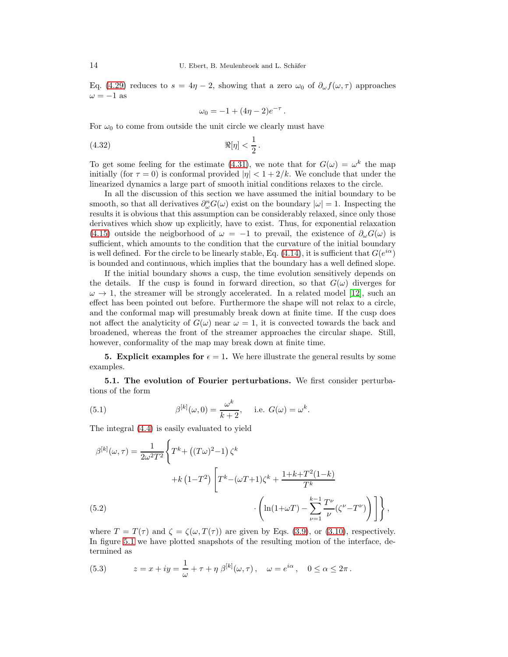Eq. [\(4.29\)](#page-12-1) reduces to  $s = 4\eta - 2$ , showing that a zero  $\omega_0$  of  $\partial_\omega f(\omega, \tau)$  approaches  $\omega = -1$  as

$$
\omega_0 = -1 + (4\eta - 2)e^{-\tau}.
$$

For  $\omega_0$  to come from outside the unit circle we clearly must have

$$
\Re[\eta] < \frac{1}{2} \, .
$$

To get some feeling for the estimate [\(4.31\)](#page-12-2), we note that for  $G(\omega) = \omega^k$  the map initially (for  $\tau = 0$ ) is conformal provided  $|\eta| < 1 + 2/k$ . We conclude that under the linearized dynamics a large part of smooth initial conditions relaxes to the circle.

In all the discussion of this section we have assumed the initial boundary to be smooth, so that all derivatives  $\partial_{\omega}^{n}G(\omega)$  exist on the boundary  $|\omega|=1$ . Inspecting the results it is obvious that this assumption can be considerably relaxed, since only those derivatives which show up explicitly, have to exist. Thus, for exponential relaxation [\(4.15\)](#page-9-0) outside the neigborhood of  $\omega = -1$  to prevail, the existence of  $\partial_{\omega}G(\omega)$  is sufficient, which amounts to the condition that the curvature of the initial boundary is well defined. For the circle to be linearly stable, Eq. [\(4.14\)](#page-8-3), it is sufficient that  $G(e^{i\alpha})$ is bounded and continuous, which implies that the boundary has a well defined slope.

If the initial boundary shows a cusp, the time evolution sensitively depends on the details. If the cusp is found in forward direction, so that  $G(\omega)$  diverges for  $\omega \to 1$ , the streamer will be strongly accelerated. In a related model [\[12\]](#page-18-12), such an effect has been pointed out before. Furthermore the shape will not relax to a circle, and the conformal map will presumably break down at finite time. If the cusp does not affect the analyticity of  $G(\omega)$  near  $\omega = 1$ , it is convected towards the back and broadened, whereas the front of the streamer approaches the circular shape. Still, however, conformality of the map may break down at finite time.

<span id="page-13-0"></span>**5. Explicit examples for**  $\epsilon = 1$ . We here illustrate the general results by some examples.

5.1. The evolution of Fourier perturbations. We first consider perturbations of the form

(5.1) 
$$
\beta^{[k]}(\omega,0) = \frac{\omega^k}{k+2}, \quad \text{i.e. } G(\omega) = \omega^k.
$$

The integral [\(4.4\)](#page-7-0) is easily evaluated to yield

$$
\beta^{[k]}(\omega,\tau) = \frac{1}{2\omega^2 T^2} \left\{ T^k + ((T\omega)^2 - 1) \zeta^k + K\left(1 - T^2\right) \left[ T^k - (\omega T + 1)\zeta^k + \frac{1 + k + T^2(1 - k)}{T^k} + \frac{1 + k + T^2(1 - k)}{T^k} \right] \right\},\,
$$
\n(5.2)

where  $T = T(\tau)$  and  $\zeta = \zeta(\omega, T(\tau))$  are given by Eqs. [\(3.9\)](#page-6-2), or [\(3.10\)](#page-6-0), respectively. In figure [5.1](#page-14-0) we have plotted snapshots of the resulting motion of the interface, determined as

(5.3) 
$$
z = x + iy = \frac{1}{\omega} + \tau + \eta \beta^{[k]}(\omega, \tau), \quad \omega = e^{i\alpha}, \quad 0 \le \alpha \le 2\pi.
$$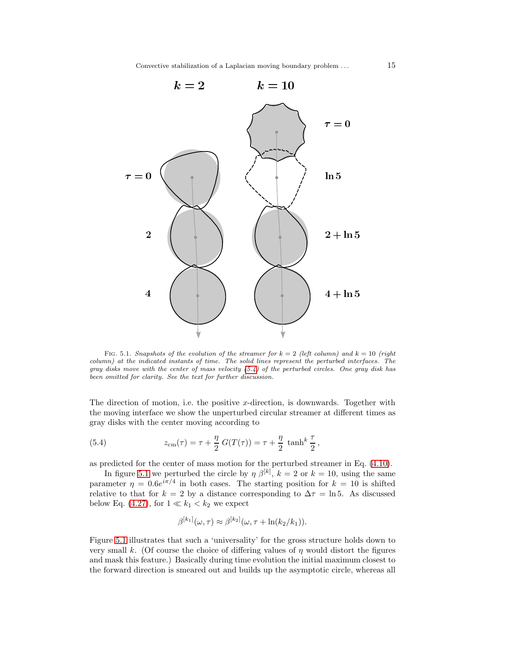

<span id="page-14-0"></span>FIG. 5.1. Snapshots of the evolution of the streamer for  $k = 2$  (left column) and  $k = 10$  (right column) at the indicated instants of time. The solid lines represent the perturbed interfaces. The gray disks move with the center of mass velocity [\(5.4\)](#page-14-1) of the perturbed circles. One gray disk has been omitted for clarity. See the text for further discussion.

The direction of motion, i.e. the positive x-direction, is downwards. Together with the moving interface we show the unperturbed circular streamer at different times as gray disks with the center moving according to

<span id="page-14-1"></span>(5.4) 
$$
z_{\text{cm}}(\tau) = \tau + \frac{\eta}{2} G(T(\tau)) = \tau + \frac{\eta}{2} \tanh^{k} \frac{\tau}{2},
$$

as predicted for the center of mass motion for the perturbed streamer in Eq. [\(4.10\)](#page-8-1).

In figure [5.1](#page-14-0) we perturbed the circle by  $\eta \beta^{[k]}$ ,  $k = 2$  or  $k = 10$ , using the same parameter  $\eta = 0.6e^{i\pi/4}$  in both cases. The starting position for  $k = 10$  is shifted relative to that for  $k = 2$  by a distance corresponding to  $\Delta \tau = \ln 5$ . As discussed below Eq. [\(4.27\)](#page-11-0), for  $1 \ll k_1 < k_2$  we expect

$$
\beta^{[k_1]}(\omega,\tau) \approx \beta^{[k_2]}(\omega,\tau + \ln(k_2/k_1)).
$$

Figure [5.1](#page-14-0) illustrates that such a 'universality' for the gross structure holds down to very small k. (Of course the choice of differing values of  $\eta$  would distort the figures and mask this feature.) Basically during time evolution the initial maximum closest to the forward direction is smeared out and builds up the asymptotic circle, whereas all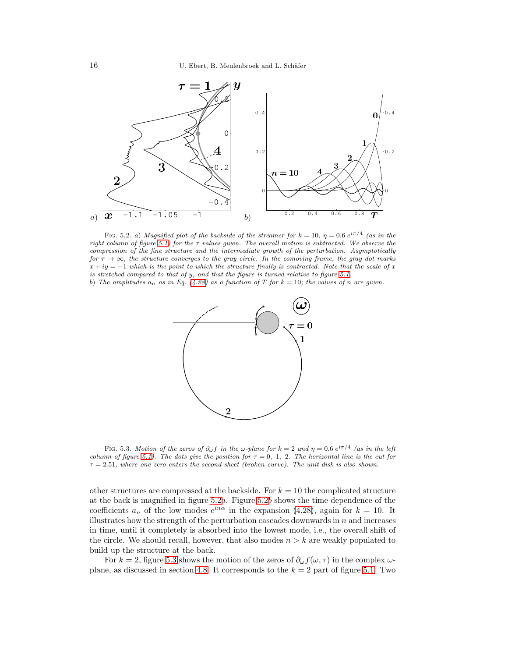

<span id="page-15-0"></span>FIG. 5.2. a) Magnified plot of the backside of the streamer for  $k = 10$ ,  $\eta = 0.6 e^{i\pi/4}$  (as in the right column of figure [5.1\)](#page-14-0) for the  $\tau$  values given. The overall motion is subtracted. We observe the compression of the fine structure and the intermediate growth of the perturbation. Asymptotically for  $\tau \to \infty$ , the structure converges to the gray circle. In the comoving frame, the gray dot marks  $x + iy = -1$  which is the point to which the structure finally is contracted. Note that the scale of x is stretched compared to that of y, and that the figure is turned relative to figure [5.1.](#page-14-0)

b) The amplitudes  $a_n$  as in Eq. [\(4.28\)](#page-12-3) as a function of T for  $k = 10$ ; the values of n are given.



<span id="page-15-1"></span>FIG. 5.3. Motion of the zeros of  $\partial_{\omega} f$  in the  $\omega$ -plane for  $k = 2$  and  $\eta = 0.6 e^{i\pi/4}$  (as in the left column of figure [5.1\)](#page-14-0). The dots give the position for  $\tau = 0, 1, 2$ . The horizontal line is the cut for  $\tau = 2.51$ , where one zero enters the second sheet (broken curve). The unit disk is also shown.

other structures are compressed at the backside. For  $k = 10$  the complicated structure at the back is magnified in figure  $5.2a$ . Figure  $5.2b$  shows the time dependence of the coefficients  $a_n$  of the low modes  $e^{in\alpha}$  in the expansion [\(4.28\)](#page-12-3), again for  $k = 10$ . It illustrates how the strength of the perturbation cascades downwards in  $n$  and increases in time, until it completely is absorbed into the lowest mode, i.e., the overall shift of the circle. We should recall, however, that also modes  $n > k$  are weakly populated to build up the structure at the back.

For  $k = 2$ , figure [5.3](#page-15-1) shows the motion of the zeros of  $\partial_{\omega} f(\omega, \tau)$  in the complex  $\omega$ -plane, as discussed in section [4.8.](#page-12-0) It corresponds to the  $k = 2$  part of figure [5.1.](#page-14-0) Two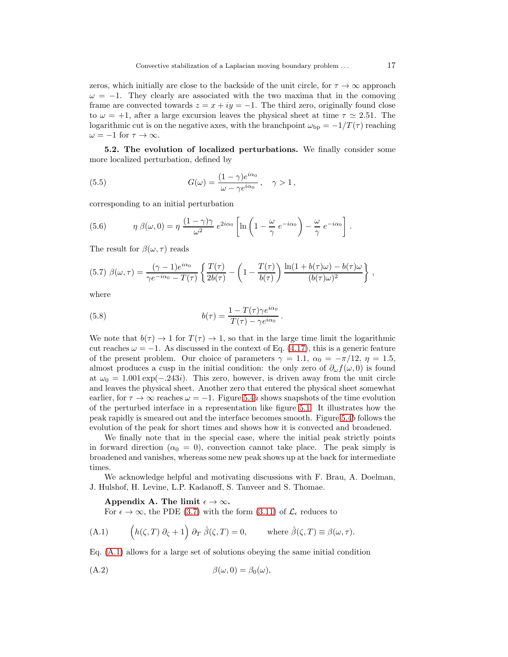zeros, which initially are close to the backside of the unit circle, for  $\tau \to \infty$  approach  $\omega = -1$ . They clearly are associated with the two maxima that in the comoving frame are convected towards  $z = x + iy = -1$ . The third zero, originally found close to  $\omega = +1$ , after a large excursion leaves the physical sheet at time  $\tau \simeq 2.51$ . The logarithmic cut is on the negative axes, with the branchpoint  $\omega_{\rm bp} = -1/T(\tau)$  reaching  $\omega = -1$  for  $\tau \to \infty$ .

5.2. The evolution of localized perturbations. We finally consider some more localized perturbation, defined by

(5.5) 
$$
G(\omega) = \frac{(1 - \gamma)e^{i\alpha_0}}{\omega - \gamma e^{i\alpha_0}}, \quad \gamma > 1,
$$

corresponding to an initial perturbation

(5.6) 
$$
\eta \beta(\omega, 0) = \eta \frac{(1 - \gamma)\gamma}{\omega^2} e^{2i\alpha_0} \left[ \ln \left( 1 - \frac{\omega}{\gamma} e^{-i\alpha_0} \right) - \frac{\omega}{\gamma} e^{-i\alpha_0} \right].
$$

The result for  $\beta(\omega, \tau)$  reads

$$
(5.7) \ \beta(\omega,\tau) = \frac{(\gamma - 1)e^{i\alpha_0}}{\gamma e^{-i\alpha_0} - T(\tau)} \left\{ \frac{T(\tau)}{2b(\tau)} - \left(1 - \frac{T(\tau)}{b(\tau)}\right) \frac{\ln(1 + b(\tau)\omega) - b(\tau)\omega}{(b(\tau)\omega)^2} \right\} \ ,
$$

where

(5.8) 
$$
b(\tau) = \frac{1 - T(\tau)\gamma e^{i\alpha_0}}{T(\tau) - \gamma e^{i\alpha_0}}.
$$

We note that  $b(\tau) \to 1$  for  $T(\tau) \to 1$ , so that in the large time limit the logarithmic cut reaches  $\omega = -1$ . As discussed in the context of Eq. [\(4.17\)](#page-9-1), this is a generic feature of the present problem. Our choice of parameters  $\gamma = 1.1, \alpha_0 = -\pi/12, \eta = 1.5$ , almost produces a cusp in the initial condition: the only zero of  $\partial_{\omega} f(\omega, 0)$  is found at  $\omega_0 = 1.001 \exp(-0.243i)$ . This zero, however, is driven away from the unit circle and leaves the physical sheet. Another zero that entered the physical sheet somewhat earlier, for  $\tau \to \infty$  reaches  $\omega = -1$ . Figure [5.4](#page-17-0)a shows snapshots of the time evolution of the perturbed interface in a representation like figure [5.1.](#page-14-0) It illustrates how the peak rapidly is smeared out and the interface becomes smooth. Figure [5.4](#page-17-0)b follows the evolution of the peak for short times and shows how it is convected and broadened.

We finally note that in the special case, where the initial peak strictly points in forward direction ( $\alpha_0 = 0$ ), convection cannot take place. The peak simply is broadened and vanishes, whereas some new peak shows up at the back for intermediate times.

We acknowledge helpful and motivating discussions with F. Brau, A. Doelman, J. Hulshof, H. Levine, L.P. Kadanoff, S. Tanveer and S. Thomae.

Appendix A. The limit  $\epsilon \to \infty$ .

<span id="page-16-0"></span>For  $\epsilon \to \infty$ , the PDE [\(3.7\)](#page-5-1) with the form [\(3.11\)](#page-6-1) of  $\mathcal{L}_{\epsilon}$  reduces to

(A.1) 
$$
\left(h(\zeta,T)\,\partial_{\zeta}+1\right)\partial_{T}\,\hat{\beta}(\zeta,T)=0, \qquad \text{where } \hat{\beta}(\zeta,T)\equiv\beta(\omega,\tau).
$$

Eq. [\(A.1\)](#page-16-0) allows for a large set of solutions obeying the same initial condition

$$
\beta(\omega,0) = \beta_0(\omega),
$$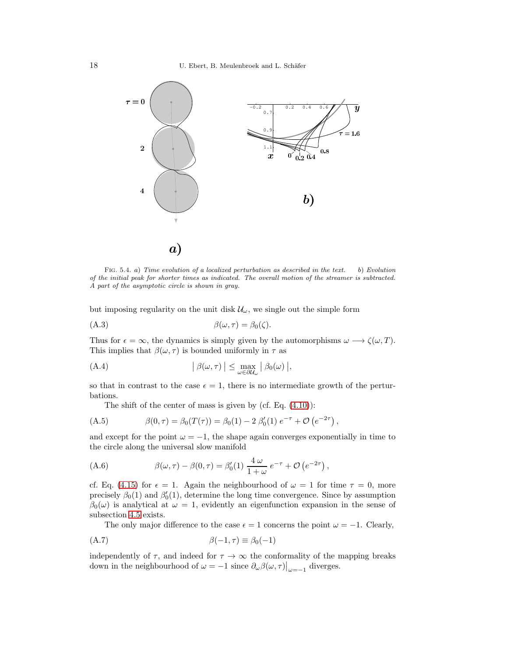

<span id="page-17-0"></span>FIG. 5.4. a) Time evolution of a localized perturbation as described in the text. b) Evolution of the initial peak for shorter times as indicated. The overall motion of the streamer is subtracted. A part of the asymptotic circle is shown in gray.

but imposing regularity on the unit disk  $\mathcal{U}_{\omega}$ , we single out the simple form

$$
\beta(\omega,\tau) = \beta_0(\zeta).
$$

Thus for  $\epsilon = \infty$ , the dynamics is simply given by the automorphisms  $\omega \longrightarrow \zeta(\omega, T)$ . This implies that  $\beta(\omega, \tau)$  is bounded uniformly in  $\tau$  as

(A.4) 
$$
\left| \beta(\omega, \tau) \right| \leq \max_{\omega \in \partial \mathcal{U}_{\omega}} \left| \beta_0(\omega) \right|,
$$

so that in contrast to the case  $\epsilon = 1$ , there is no intermediate growth of the perturbations.

The shift of the center of mass is given by  $(cf. Eq. (4.10))$  $(cf. Eq. (4.10))$  $(cf. Eq. (4.10))$ :

(A.5) 
$$
\beta(0,\tau) = \beta_0(T(\tau)) = \beta_0(1) - 2 \beta'_0(1) e^{-\tau} + \mathcal{O}(e^{-2\tau}),
$$

and except for the point  $\omega = -1$ , the shape again converges exponentially in time to the circle along the universal slow manifold

(A.6) 
$$
\beta(\omega,\tau) - \beta(0,\tau) = \beta'_0(1) \frac{4 \omega}{1+\omega} e^{-\tau} + \mathcal{O}(e^{-2\tau}),
$$

cf. Eq. [\(4.15\)](#page-9-0) for  $\epsilon = 1$ . Again the neighbourhood of  $\omega = 1$  for time  $\tau = 0$ , more precisely  $\beta_0(1)$  and  $\beta'_0(1)$ , determine the long time convergence. Since by assumption  $\beta_0(\omega)$  is analytical at  $\omega = 1$ , evidently an eigenfunction expansion in the sense of subsection [4.5](#page-9-3) exists.

The only major difference to the case  $\epsilon = 1$  concerns the point  $\omega = -1$ . Clearly,

$$
\beta(-1, \tau) \equiv \beta_0(-1)
$$

independently of  $\tau$ , and indeed for  $\tau \to \infty$  the conformality of the mapping breaks down in the neighbourhood of  $\omega = -1$  since  $\partial_{\omega}\beta(\omega, \tau)\big|_{\omega=-1}$  diverges.